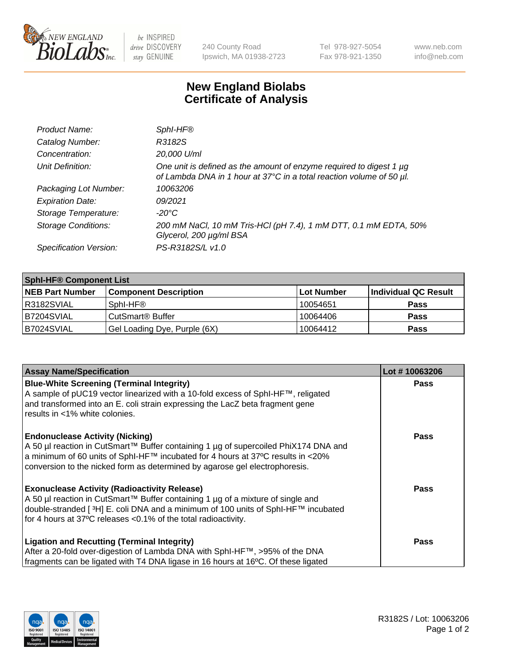

 $be$  INSPIRED drive DISCOVERY stay GENUINE

240 County Road Ipswich, MA 01938-2723 Tel 978-927-5054 Fax 978-921-1350 www.neb.com info@neb.com

## **New England Biolabs Certificate of Analysis**

| Product Name:              | SphI-HF®                                                                                                                                    |
|----------------------------|---------------------------------------------------------------------------------------------------------------------------------------------|
| Catalog Number:            | R3182S                                                                                                                                      |
| Concentration:             | 20,000 U/ml                                                                                                                                 |
| Unit Definition:           | One unit is defined as the amount of enzyme required to digest 1 µg<br>of Lambda DNA in 1 hour at 37°C in a total reaction volume of 50 µl. |
| Packaging Lot Number:      | 10063206                                                                                                                                    |
| <b>Expiration Date:</b>    | 09/2021                                                                                                                                     |
| Storage Temperature:       | $-20^{\circ}$ C                                                                                                                             |
| <b>Storage Conditions:</b> | 200 mM NaCl, 10 mM Tris-HCl (pH 7.4), 1 mM DTT, 0.1 mM EDTA, 50%<br>Glycerol, 200 µg/ml BSA                                                 |
| Specification Version:     | PS-R3182S/L v1.0                                                                                                                            |

| <b>Sphl-HF® Component List</b> |                              |            |                      |  |  |
|--------------------------------|------------------------------|------------|----------------------|--|--|
| <b>NEB Part Number</b>         | <b>Component Description</b> | Lot Number | Individual QC Result |  |  |
| I R3182SVIAL                   | Sphl-HF®                     | 10054651   | <b>Pass</b>          |  |  |
| B7204SVIAL                     | CutSmart <sup>®</sup> Buffer | 10064406   | <b>Pass</b>          |  |  |
| IB7024SVIAL                    | Gel Loading Dye, Purple (6X) | 10064412   | <b>Pass</b>          |  |  |

| <b>Assay Name/Specification</b>                                                     | Lot #10063206 |
|-------------------------------------------------------------------------------------|---------------|
| <b>Blue-White Screening (Terminal Integrity)</b>                                    | <b>Pass</b>   |
| A sample of pUC19 vector linearized with a 10-fold excess of SphI-HF™, religated    |               |
| and transformed into an E. coli strain expressing the LacZ beta fragment gene       |               |
| results in <1% white colonies.                                                      |               |
| <b>Endonuclease Activity (Nicking)</b>                                              | <b>Pass</b>   |
| A 50 µl reaction in CutSmart™ Buffer containing 1 µg of supercoiled PhiX174 DNA and |               |
| a minimum of 60 units of SphI-HF™ incubated for 4 hours at 37°C results in <20%     |               |
| conversion to the nicked form as determined by agarose gel electrophoresis.         |               |
| <b>Exonuclease Activity (Radioactivity Release)</b>                                 | Pass          |
| A 50 µl reaction in CutSmart™ Buffer containing 1 µg of a mixture of single and     |               |
| double-stranded [3H] E. coli DNA and a minimum of 100 units of SphI-HF™ incubated   |               |
| for 4 hours at 37°C releases <0.1% of the total radioactivity.                      |               |
| <b>Ligation and Recutting (Terminal Integrity)</b>                                  | <b>Pass</b>   |
| After a 20-fold over-digestion of Lambda DNA with SphI-HF™, >95% of the DNA         |               |
| fragments can be ligated with T4 DNA ligase in 16 hours at 16°C. Of these ligated   |               |